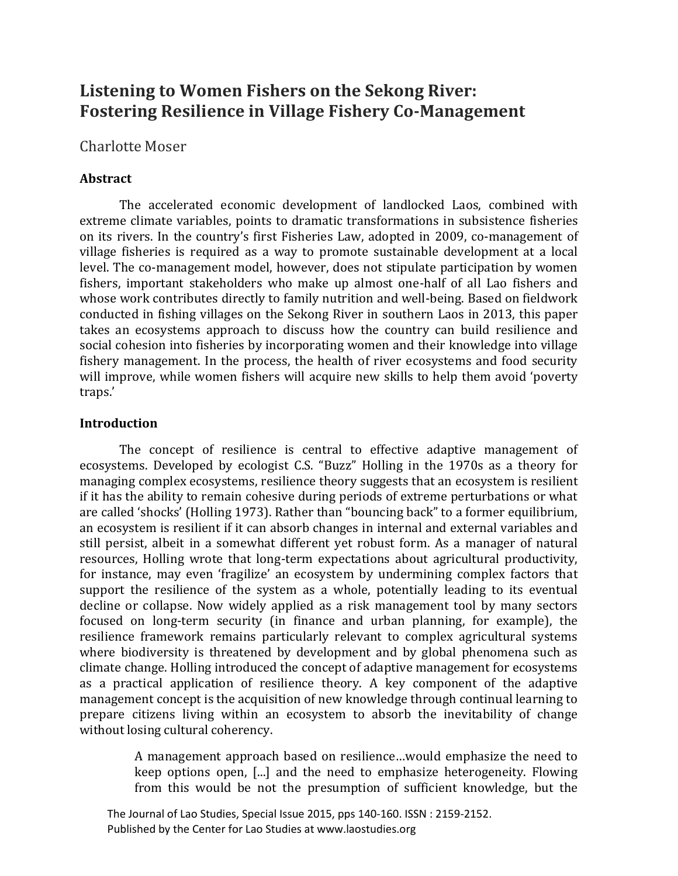# **Listening to Women Fishers on the Sekong River: Fostering Resilience in Village Fishery Co-Management**

# Charlotte Moser

# **Abstract**

The accelerated economic development of landlocked Laos, combined with extreme climate variables, points to dramatic transformations in subsistence fisheries on its rivers. In the country's first Fisheries Law, adopted in 2009, co-management of village fisheries is required as a way to promote sustainable development at a local level. The co-management model, however, does not stipulate participation by women fishers, important stakeholders who make up almost one-half of all Lao fishers and whose work contributes directly to family nutrition and well-being. Based on fieldwork conducted in fishing villages on the Sekong River in southern Laos in 2013, this paper takes an ecosystems approach to discuss how the country can build resilience and social cohesion into fisheries by incorporating women and their knowledge into village fishery management. In the process, the health of river ecosystems and food security will improve, while women fishers will acquire new skills to help them avoid 'poverty traps.'

# **Introduction**

The concept of resilience is central to effective adaptive management of ecosystems. Developed by ecologist C.S. "Buzz" Holling in the 1970s as a theory for managing complex ecosystems, resilience theory suggests that an ecosystem is resilient if it has the ability to remain cohesive during periods of extreme perturbations or what are called 'shocks' (Holling 1973). Rather than "bouncing back" to a former equilibrium, an ecosystem is resilient if it can absorb changes in internal and external variables and still persist, albeit in a somewhat different yet robust form. As a manager of natural resources, Holling wrote that long-term expectations about agricultural productivity, for instance, may even 'fragilize' an ecosystem by undermining complex factors that support the resilience of the system as a whole, potentially leading to its eventual decline or collapse. Now widely applied as a risk management tool by many sectors focused on long-term security (in finance and urban planning, for example), the resilience framework remains particularly relevant to complex agricultural systems where biodiversity is threatened by development and by global phenomena such as climate change. Holling introduced the concept of adaptive management for ecosystems as a practical application of resilience theory. A key component of the adaptive management concept is the acquisition of new knowledge through continual learning to prepare citizens living within an ecosystem to absorb the inevitability of change without losing cultural coherency.

> A management approach based on resilience…would emphasize the need to keep options open, [...] and the need to emphasize heterogeneity. Flowing from this would be not the presumption of sufficient knowledge, but the

 The Journal of Lao Studies, Special Issue 2015, pps 140-160. ISSN : 2159-2152. Published by the Center for Lao Studies at www.laostudies.org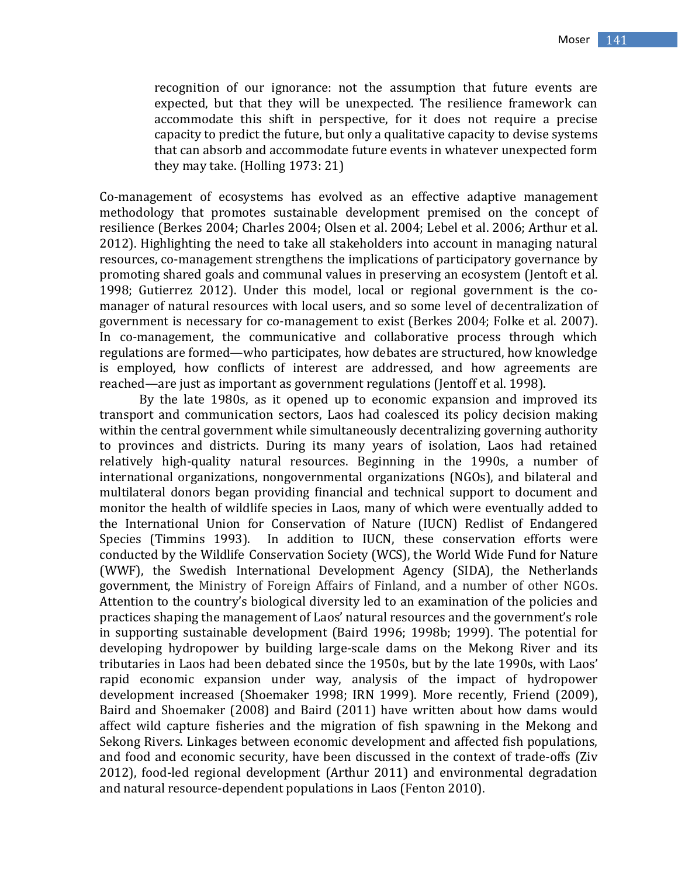recognition of our ignorance: not the assumption that future events are expected, but that they will be unexpected. The resilience framework can accommodate this shift in perspective, for it does not require a precise capacity to predict the future, but only a qualitative capacity to devise systems that can absorb and accommodate future events in whatever unexpected form they may take. (Holling 1973: 21)

Co-management of ecosystems has evolved as an effective adaptive management methodology that promotes sustainable development premised on the concept of resilience (Berkes 2004; Charles 2004; Olsen et al. 2004; Lebel et al. 2006; Arthur et al. 2012). Highlighting the need to take all stakeholders into account in managing natural resources, co-management strengthens the implications of participatory governance by promoting shared goals and communal values in preserving an ecosystem (Jentoft et al. 1998; Gutierrez 2012). Under this model, local or regional government is the comanager of natural resources with local users, and so some level of decentralization of government is necessary for co-management to exist (Berkes 2004; Folke et al. 2007). In co-management, the communicative and collaborative process through which regulations are formed—who participates, how debates are structured, how knowledge is employed, how conflicts of interest are addressed, and how agreements are reached—are just as important as government regulations (Jentoff et al. 1998).

By the late 1980s, as it opened up to economic expansion and improved its transport and communication sectors, Laos had coalesced its policy decision making within the central government while simultaneously decentralizing governing authority to provinces and districts. During its many years of isolation, Laos had retained relatively high-quality natural resources. Beginning in the 1990s, a number of international organizations, nongovernmental organizations (NGOs), and bilateral and multilateral donors began providing financial and technical support to document and monitor the health of wildlife species in Laos, many of which were eventually added to the International Union for Conservation of Nature (IUCN) Redlist of Endangered Species (Timmins 1993). In addition to IUCN, these conservation efforts were conducted by the Wildlife Conservation Society (WCS), the World Wide Fund for Nature (WWF), the Swedish International Development Agency (SIDA), the Netherlands government, the Ministry of Foreign Affairs of Finland, and a number of other NGOs. Attention to the country's biological diversity led to an examination of the policies and practices shaping the management of Laos' natural resources and the government's role in supporting sustainable development (Baird 1996; 1998b; 1999). The potential for developing hydropower by building large-scale dams on the Mekong River and its tributaries in Laos had been debated since the 1950s, but by the late 1990s, with Laos' rapid economic expansion under way, analysis of the impact of hydropower development increased (Shoemaker 1998; IRN 1999). More recently, Friend (2009), Baird and Shoemaker (2008) and Baird (2011) have written about how dams would affect wild capture fisheries and the migration of fish spawning in the Mekong and Sekong Rivers. Linkages between economic development and affected fish populations, and food and economic security, have been discussed in the context of trade-offs (Ziv 2012), food-led regional development (Arthur 2011) and environmental degradation and natural resource-dependent populations in Laos (Fenton 2010).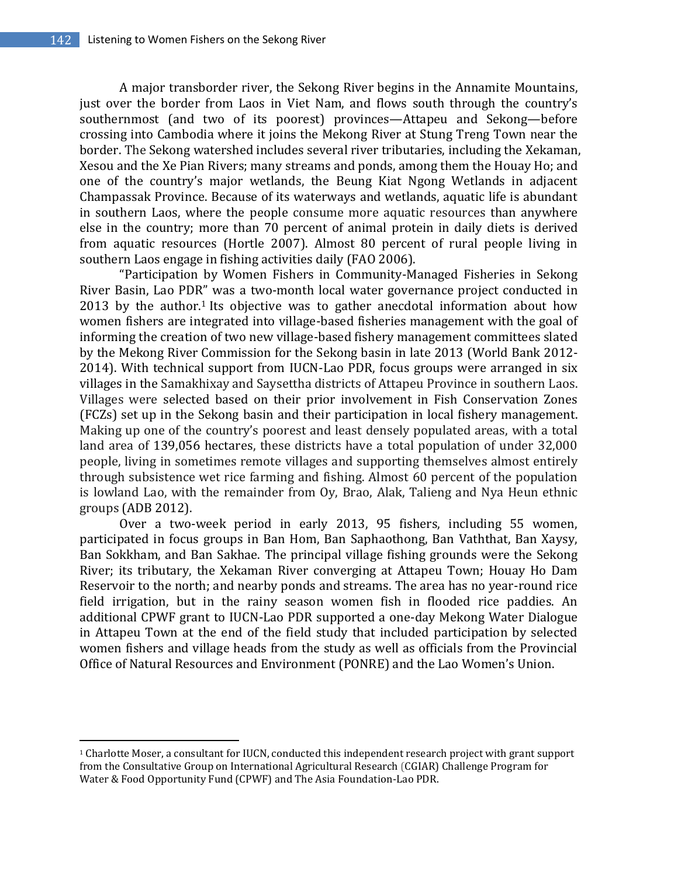$\overline{a}$ 

A major transborder river, the Sekong River begins in the Annamite Mountains, just over the border from Laos in Viet Nam, and flows south through the country's southernmost (and two of its poorest) provinces—Attapeu and Sekong—before crossing into Cambodia where it joins the Mekong River at Stung Treng Town near the border. The Sekong watershed includes several river tributaries, including the Xekaman, Xesou and the Xe Pian Rivers; many streams and ponds, among them the Houay Ho; and one of the country's major wetlands, the Beung Kiat Ngong Wetlands in adjacent Champassak Province. Because of its waterways and wetlands, aquatic life is abundant in southern Laos, where the people consume more aquatic resources than anywhere else in the country; more than 70 percent of animal protein in daily diets is derived from aquatic resources (Hortle 2007). Almost 80 percent of rural people living in southern Laos engage in fishing activities daily (FAO 2006).

"Participation by Women Fishers in Community-Managed Fisheries in Sekong River Basin, Lao PDR" was a two-month local water governance project conducted in 2013 by the author.<sup>1</sup> Its objective was to gather anecdotal information about how women fishers are integrated into village-based fisheries management with the goal of informing the creation of two new village-based fishery management committees slated by the Mekong River Commission for the Sekong basin in late 2013 (World Bank 2012- 2014). With technical support from IUCN-Lao PDR, focus groups were arranged in six villages in the Samakhixay and Saysettha districts of Attapeu Province in southern Laos. Villages were selected based on their prior involvement in Fish Conservation Zones (FCZs) set up in the Sekong basin and their participation in local fishery management. Making up one of the country's poorest and least densely populated areas, with a total land area of 139,056 hectares, these districts have a total population of under 32,000 people, living in sometimes remote villages and supporting themselves almost entirely through subsistence wet rice farming and fishing. Almost 60 percent of the population is lowland Lao, with the remainder from Oy, Brao, Alak, Talieng and Nya Heun ethnic groups (ADB 2012).

Over a two-week period in early 2013, 95 fishers, including 55 women, participated in focus groups in Ban Hom, Ban Saphaothong, Ban Vaththat, Ban Xaysy, Ban Sokkham, and Ban Sakhae. The principal village fishing grounds were the Sekong River; its tributary, the Xekaman River converging at Attapeu Town; Houay Ho Dam Reservoir to the north; and nearby ponds and streams. The area has no year-round rice field irrigation, but in the rainy season women fish in flooded rice paddies. An additional CPWF grant to IUCN-Lao PDR supported a one-day Mekong Water Dialogue in Attapeu Town at the end of the field study that included participation by selected women fishers and village heads from the study as well as officials from the Provincial Office of Natural Resources and Environment (PONRE) and the Lao Women's Union.

<sup>1</sup> Charlotte Moser, a consultant for IUCN, conducted this independent research project with grant support from the Consultative Group on International Agricultural Research (CGIAR) Challenge Program for Water & Food Opportunity Fund (CPWF) and The Asia Foundation-Lao PDR.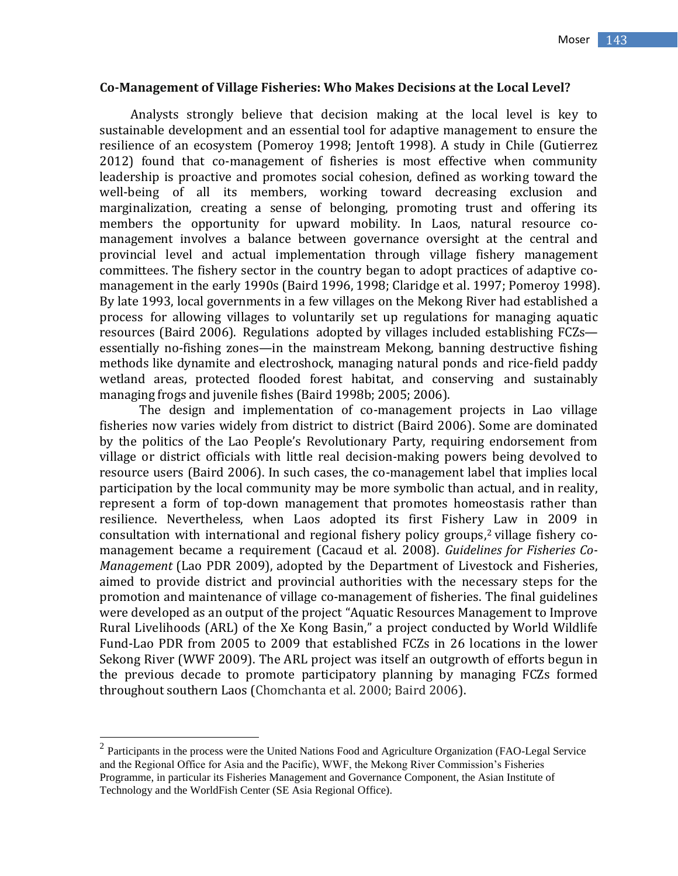### **Co-Management of Village Fisheries: Who Makes Decisions at the Local Level?**

Analysts strongly believe that decision making at the local level is key to sustainable development and an essential tool for adaptive management to ensure the resilience of an ecosystem (Pomeroy 1998; Jentoft 1998). A study in Chile (Gutierrez 2012) found that co-management of fisheries is most effective when community leadership is proactive and promotes social cohesion, defined as working toward the well-being of all its members, working toward decreasing exclusion and marginalization, creating a sense of belonging, promoting trust and offering its members the opportunity for upward mobility. In Laos, natural resource comanagement involves a balance between governance oversight at the central and provincial level and actual implementation through village fishery management committees. The fishery sector in the country began to adopt practices of adaptive comanagement in the early 1990s (Baird 1996, 1998; Claridge et al. 1997; Pomeroy 1998). By late 1993, local governments in a few villages on the Mekong River had established a process for allowing villages to voluntarily set up regulations for managing aquatic resources (Baird 2006). Regulations adopted by villages included establishing FCZs essentially no-fishing zones—in the mainstream Mekong, banning destructive fishing methods like dynamite and electroshock, managing natural ponds and rice-field paddy wetland areas, protected flooded forest habitat, and conserving and sustainably managing frogs and juvenile fishes (Baird 1998b; 2005; 2006).

The design and implementation of co-management projects in Lao village fisheries now varies widely from district to district (Baird 2006). Some are dominated by the politics of the Lao People's Revolutionary Party, requiring endorsement from village or district officials with little real decision-making powers being devolved to resource users (Baird 2006). In such cases, the co-management label that implies local participation by the local community may be more symbolic than actual, and in reality, represent a form of top-down management that promotes homeostasis rather than resilience. Nevertheless, when Laos adopted its first Fishery Law in 2009 in consultation with international and regional fishery policy groups, <sup>2</sup> village fishery comanagement became a requirement (Cacaud et al. 2008). *Guidelines for Fisheries Co-Management* (Lao PDR 2009), adopted by the Department of Livestock and Fisheries, aimed to provide district and provincial authorities with the necessary steps for the promotion and maintenance of village co-management of fisheries. The final guidelines were developed as an output of the project "Aquatic Resources Management to Improve Rural Livelihoods (ARL) of the Xe Kong Basin," a project conducted by World Wildlife Fund-Lao PDR from 2005 to 2009 that established FCZs in 26 locations in the lower Sekong River (WWF 2009). The ARL project was itself an outgrowth of efforts begun in the previous decade to promote participatory planning by managing FCZs formed throughout southern Laos (Chomchanta et al. 2000; Baird 2006).

<sup>&</sup>lt;sup>2</sup> Participants in the process were the United Nations Food and Agriculture Organization (FAO-Legal Service and the Regional Office for Asia and the Pacific), WWF, the Mekong River Commission's Fisheries Programme, in particular its Fisheries Management and Governance Component, the Asian Institute of Technology and the WorldFish Center (SE Asia Regional Office).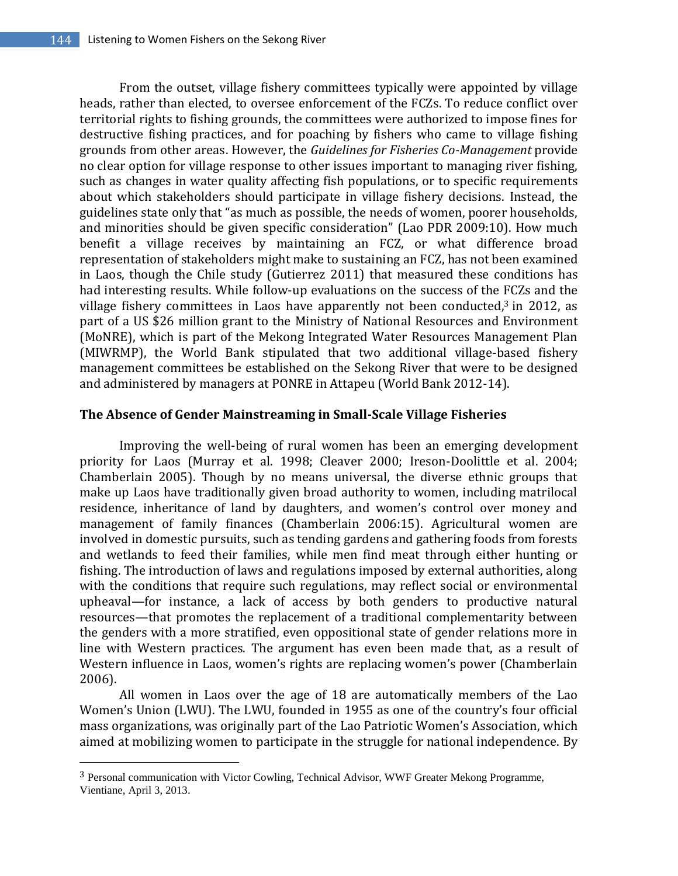From the outset, village fishery committees typically were appointed by village heads, rather than elected, to oversee enforcement of the FCZs. To reduce conflict over territorial rights to fishing grounds, the committees were authorized to impose fines for destructive fishing practices, and for poaching by fishers who came to village fishing grounds from other areas. However, the *Guidelines for Fisheries Co-Management* provide no clear option for village response to other issues important to managing river fishing, such as changes in water quality affecting fish populations, or to specific requirements about which stakeholders should participate in village fishery decisions. Instead, the guidelines state only that "as much as possible, the needs of women, poorer households, and minorities should be given specific consideration" (Lao PDR 2009:10). How much benefit a village receives by maintaining an FCZ, or what difference broad representation of stakeholders might make to sustaining an FCZ, has not been examined in Laos, though the Chile study (Gutierrez 2011) that measured these conditions has had interesting results. While follow-up evaluations on the success of the FCZs and the village fishery committees in Laos have apparently not been conducted, <sup>3</sup> in 2012, as part of a US \$26 million grant to the Ministry of National Resources and Environment (MoNRE), which is part of the Mekong Integrated Water Resources Management Plan (MIWRMP), the World Bank stipulated that two additional village-based fishery management committees be established on the Sekong River that were to be designed and administered by managers at PONRE in Attapeu (World Bank 2012-14).

## **The Absence of Gender Mainstreaming in Small-Scale Village Fisheries**

Improving the well-being of rural women has been an emerging development priority for Laos (Murray et al. 1998; Cleaver 2000; Ireson-Doolittle et al. 2004; Chamberlain 2005). Though by no means universal, the diverse ethnic groups that make up Laos have traditionally given broad authority to women, including matrilocal residence, inheritance of land by daughters, and women's control over money and management of family finances (Chamberlain 2006:15). Agricultural women are involved in domestic pursuits, such as tending gardens and gathering foods from forests and wetlands to feed their families, while men find meat through either hunting or fishing. The introduction of laws and regulations imposed by external authorities, along with the conditions that require such regulations, may reflect social or environmental upheaval—for instance, a lack of access by both genders to productive natural resources—that promotes the replacement of a traditional complementarity between the genders with a more stratified, even oppositional state of gender relations more in line with Western practices. The argument has even been made that, as a result of Western influence in Laos, women's rights are replacing women's power (Chamberlain 2006).

All women in Laos over the age of 18 are automatically members of the Lao Women's Union (LWU). The LWU, founded in 1955 as one of the country's four official mass organizations, was originally part of the Lao Patriotic Women's Association, which aimed at mobilizing women to participate in the struggle for national independence. By

 $\overline{a}$ 

<sup>3</sup> Personal communication with Victor Cowling, Technical Advisor, WWF Greater Mekong Programme, Vientiane, April 3, 2013.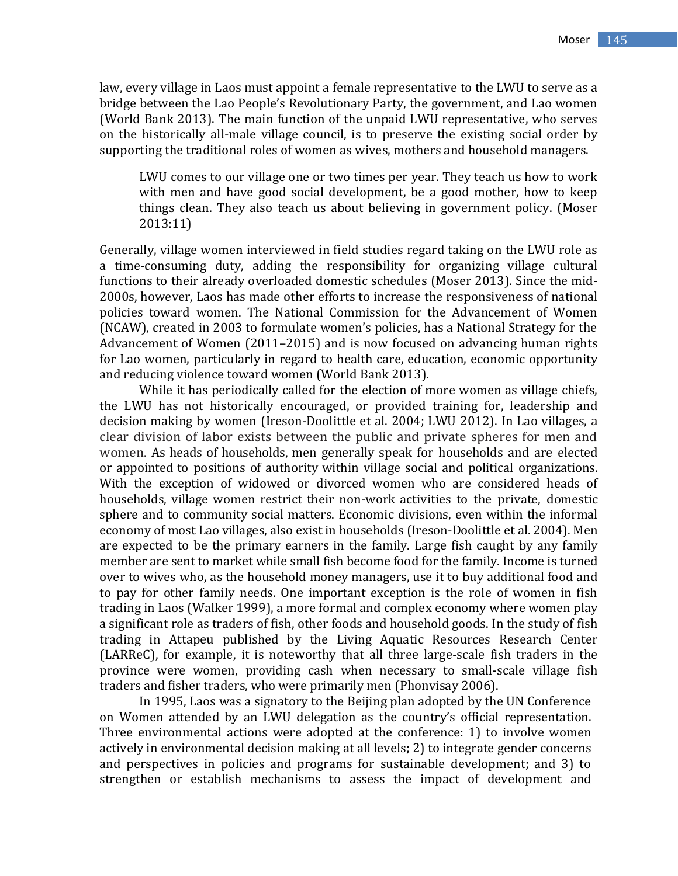law, every village in Laos must appoint a female representative to the LWU to serve as a bridge between the Lao People's Revolutionary Party, the government, and Lao women (World Bank 2013). The main function of the unpaid LWU representative, who serves on the historically all-male village council, is to preserve the existing social order by supporting the traditional roles of women as wives, mothers and household managers.

LWU comes to our village one or two times per year. They teach us how to work with men and have good social development, be a good mother, how to keep things clean. They also teach us about believing in government policy. (Moser 2013:11)

Generally, village women interviewed in field studies regard taking on the LWU role as a time-consuming duty, adding the responsibility for organizing village cultural functions to their already overloaded domestic schedules (Moser 2013). Since the mid-2000s, however, Laos has made other efforts to increase the responsiveness of national policies toward women. The National Commission for the Advancement of Women (NCAW), created in 2003 to formulate women's policies, has a National Strategy for the Advancement of Women (2011–2015) and is now focused on advancing human rights for Lao women, particularly in regard to health care, education, economic opportunity and reducing violence toward women (World Bank 2013).

While it has periodically called for the election of more women as village chiefs, the LWU has not historically encouraged, or provided training for, leadership and decision making by women (Ireson-Doolittle et al. 2004; LWU 2012). In Lao villages, a clear division of labor exists between the public and private spheres for men and women. As heads of households, men generally speak for households and are elected or appointed to positions of authority within village social and political organizations. With the exception of widowed or divorced women who are considered heads of households, village women restrict their non-work activities to the private, domestic sphere and to community social matters. Economic divisions, even within the informal economy of most Lao villages, also exist in households (Ireson-Doolittle et al. 2004). Men are expected to be the primary earners in the family. Large fish caught by any family member are sent to market while small fish become food for the family. Income is turned over to wives who, as the household money managers, use it to buy additional food and to pay for other family needs. One important exception is the role of women in fish trading in Laos (Walker 1999), a more formal and complex economy where women play a significant role as traders of fish, other foods and household goods. In the study of fish trading in Attapeu published by the Living Aquatic Resources Research Center (LARReC), for example, it is noteworthy that all three large-scale fish traders in the province were women, providing cash when necessary to small-scale village fish traders and fisher traders, who were primarily men (Phonvisay 2006).

In 1995, Laos was a signatory to the Beijing plan adopted by the UN Conference on Women attended by an LWU delegation as the country's official representation. Three environmental actions were adopted at the conference: 1) to involve women actively in environmental decision making at all levels; 2) to integrate gender concerns and perspectives in policies and programs for sustainable development; and 3) to strengthen or establish mechanisms to assess the impact of development and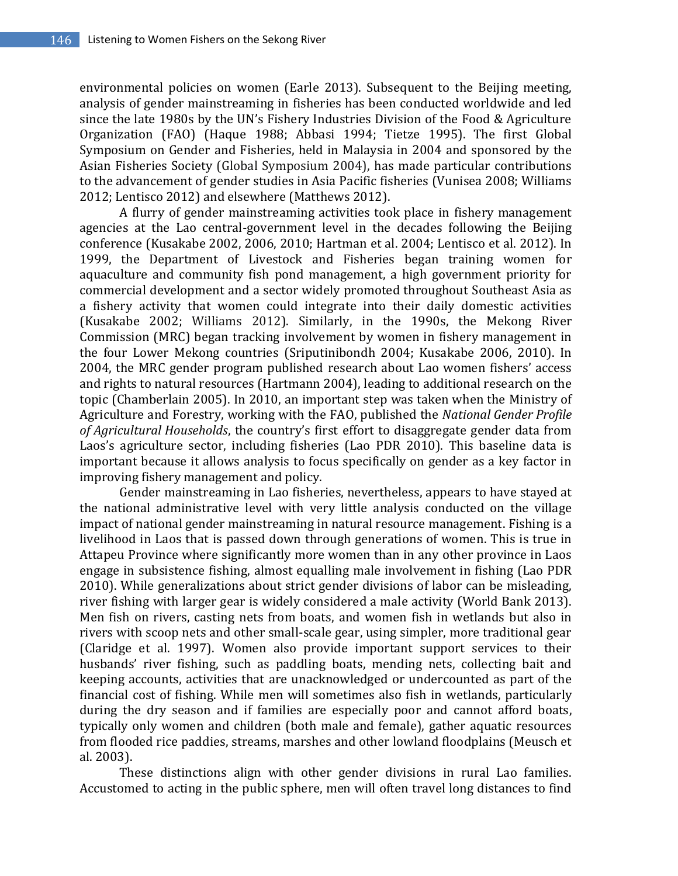environmental policies on women (Earle 2013). Subsequent to the Beijing meeting, analysis of gender mainstreaming in fisheries has been conducted worldwide and led since the late 1980s by the UN's Fishery Industries Division of the Food & Agriculture Organization (FAO) (Haque 1988; Abbasi 1994; Tietze 1995). The first Global Symposium on Gender and Fisheries, held in Malaysia in 2004 and sponsored by the Asian Fisheries Society (Global Symposium 2004), has made particular contributions to the advancement of gender studies in Asia Pacific fisheries (Vunisea 2008; Williams 2012; Lentisco 2012) and elsewhere (Matthews 2012).

A flurry of gender mainstreaming activities took place in fishery management agencies at the Lao central-government level in the decades following the Beijing conference (Kusakabe 2002, 2006, 2010; Hartman et al. 2004; Lentisco et al. 2012). In 1999, the Department of Livestock and Fisheries began training women for aquaculture and community fish pond management, a high government priority for commercial development and a sector widely promoted throughout Southeast Asia as a fishery activity that women could integrate into their daily domestic activities (Kusakabe 2002; Williams 2012). Similarly, in the 1990s, the Mekong River Commission (MRC) began tracking involvement by women in fishery management in the four Lower Mekong countries (Sriputinibondh 2004; Kusakabe 2006, 2010). In 2004, the MRC gender program published research about Lao women fishers' access and rights to natural resources (Hartmann 2004), leading to additional research on the topic (Chamberlain 2005). In 2010, an important step was taken when the Ministry of Agriculture and Forestry, working with the FAO, published the *National Gender Profile of Agricultural Households*, the country's first effort to disaggregate gender data from Laos's agriculture sector, including fisheries (Lao PDR 2010). This baseline data is important because it allows analysis to focus specifically on gender as a key factor in improving fishery management and policy.

Gender mainstreaming in Lao fisheries, nevertheless, appears to have stayed at the national administrative level with very little analysis conducted on the village impact of national gender mainstreaming in natural resource management. Fishing is a livelihood in Laos that is passed down through generations of women. This is true in Attapeu Province where significantly more women than in any other province in Laos engage in subsistence fishing, almost equalling male involvement in fishing (Lao PDR 2010). While generalizations about strict gender divisions of labor can be misleading, river fishing with larger gear is widely considered a male activity (World Bank 2013). Men fish on rivers, casting nets from boats, and women fish in wetlands but also in rivers with scoop nets and other small-scale gear, using simpler, more traditional gear (Claridge et al. 1997). Women also provide important support services to their husbands' river fishing, such as paddling boats, mending nets, collecting bait and keeping accounts, activities that are unacknowledged or undercounted as part of the financial cost of fishing. While men will sometimes also fish in wetlands, particularly during the dry season and if families are especially poor and cannot afford boats, typically only women and children (both male and female), gather aquatic resources from flooded rice paddies, streams, marshes and other lowland floodplains (Meusch et al. 2003).

These distinctions align with other gender divisions in rural Lao families. Accustomed to acting in the public sphere, men will often travel long distances to find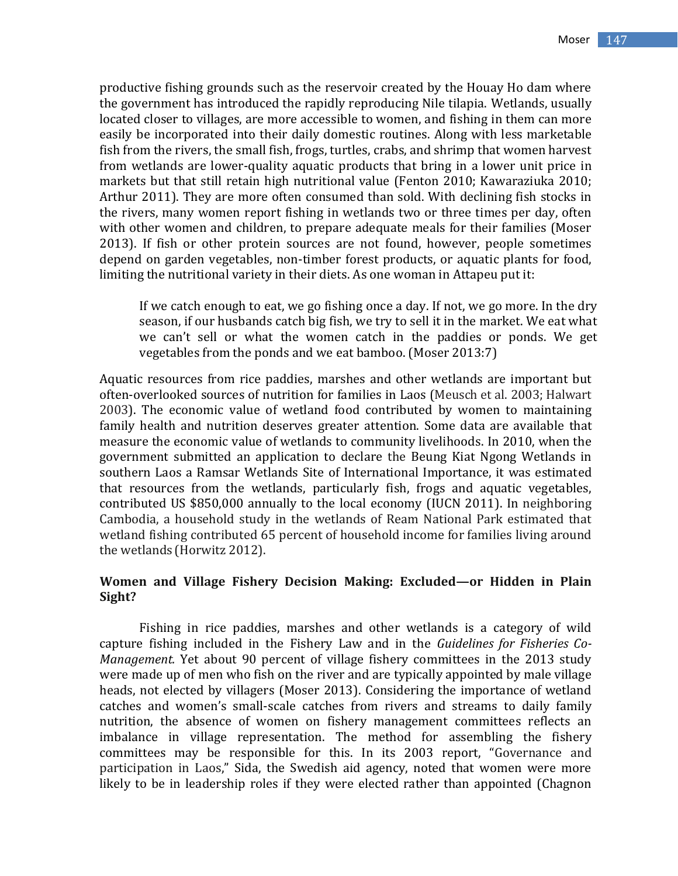productive fishing grounds such as the reservoir created by the Houay Ho dam where the government has introduced the rapidly reproducing Nile tilapia. Wetlands, usually located closer to villages, are more accessible to women, and fishing in them can more easily be incorporated into their daily domestic routines. Along with less marketable fish from the rivers, the small fish, frogs, turtles, crabs, and shrimp that women harvest from wetlands are lower-quality aquatic products that bring in a lower unit price in markets but that still retain high nutritional value (Fenton 2010; Kawaraziuka 2010; Arthur 2011). They are more often consumed than sold. With declining fish stocks in the rivers, many women report fishing in wetlands two or three times per day, often with other women and children, to prepare adequate meals for their families (Moser 2013). If fish or other protein sources are not found, however, people sometimes depend on garden vegetables, non-timber forest products, or aquatic plants for food, limiting the nutritional variety in their diets. As one woman in Attapeu put it:

If we catch enough to eat, we go fishing once a day. If not, we go more. In the dry season, if our husbands catch big fish, we try to sell it in the market. We eat what we can't sell or what the women catch in the paddies or ponds. We get vegetables from the ponds and we eat bamboo. (Moser 2013:7)

Aquatic resources from rice paddies, marshes and other wetlands are important but often-overlooked sources of nutrition for families in Laos (Meusch et al. 2003; Halwart 2003). The economic value of wetland food contributed by women to maintaining family health and nutrition deserves greater attention. Some data are available that measure the economic value of wetlands to community livelihoods. In 2010, when the government submitted an application to declare the Beung Kiat Ngong Wetlands in southern Laos a Ramsar Wetlands Site of International Importance, it was estimated that resources from the wetlands, particularly fish, frogs and aquatic vegetables, contributed US \$850,000 annually to the local economy (IUCN 2011). In neighboring Cambodia, a household study in the wetlands of Ream National Park estimated that wetland fishing contributed 65 percent of household income for families living around the wetlands (Horwitz 2012).

## **Women and Village Fishery Decision Making: Excluded—or Hidden in Plain Sight?**

Fishing in rice paddies, marshes and other wetlands is a category of wild capture fishing included in the Fishery Law and in the *Guidelines for Fisheries Co-Management.* Yet about 90 percent of village fishery committees in the 2013 study were made up of men who fish on the river and are typically appointed by male village heads, not elected by villagers (Moser 2013). Considering the importance of wetland catches and women's small-scale catches from rivers and streams to daily family nutrition, the absence of women on fishery management committees reflects an imbalance in village representation. The method for assembling the fishery committees may be responsible for this. In its 2003 report, "Governance and participation in Laos," Sida, the Swedish aid agency, noted that women were more likely to be in leadership roles if they were elected rather than appointed (Chagnon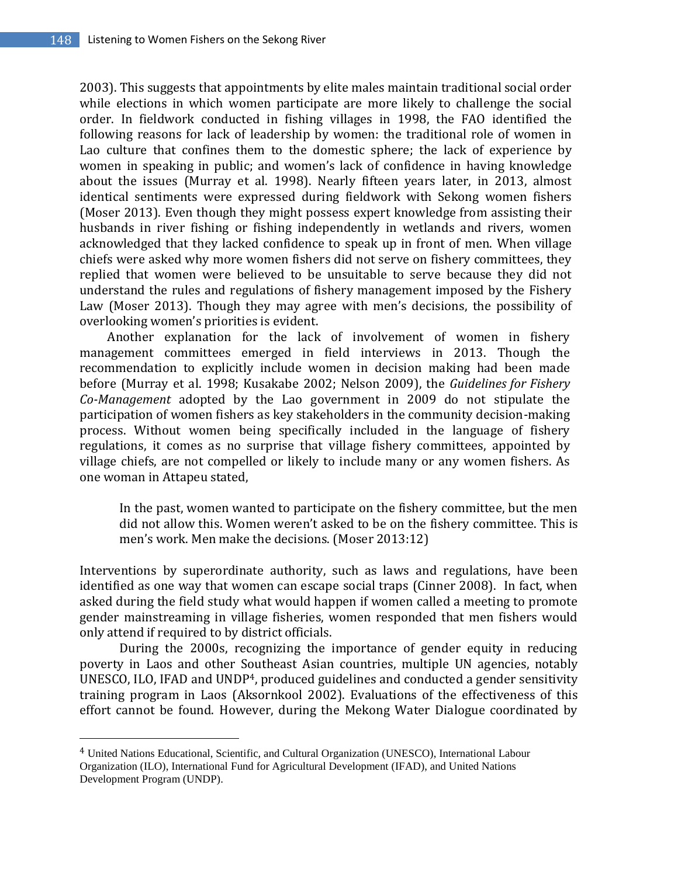2003). This suggests that appointments by elite males maintain traditional social order while elections in which women participate are more likely to challenge the social order. In fieldwork conducted in fishing villages in 1998, the FAO identified the following reasons for lack of leadership by women: the traditional role of women in Lao culture that confines them to the domestic sphere; the lack of experience by women in speaking in public; and women's lack of confidence in having knowledge about the issues (Murray et al. 1998). Nearly fifteen years later, in 2013, almost identical sentiments were expressed during fieldwork with Sekong women fishers (Moser 2013). Even though they might possess expert knowledge from assisting their husbands in river fishing or fishing independently in wetlands and rivers, women acknowledged that they lacked confidence to speak up in front of men. When village chiefs were asked why more women fishers did not serve on fishery committees, they replied that women were believed to be unsuitable to serve because they did not understand the rules and regulations of fishery management imposed by the Fishery Law (Moser 2013). Though they may agree with men's decisions, the possibility of overlooking women's priorities is evident.

Another explanation for the lack of involvement of women in fishery management committees emerged in field interviews in 2013. Though the recommendation to explicitly include women in decision making had been made before (Murray et al. 1998; Kusakabe 2002; Nelson 2009), the *Guidelines for Fishery Co-Management* adopted by the Lao government in 2009 do not stipulate the participation of women fishers as key stakeholders in the community decision-making process. Without women being specifically included in the language of fishery regulations, it comes as no surprise that village fishery committees, appointed by village chiefs, are not compelled or likely to include many or any women fishers. As one woman in Attapeu stated,

In the past, women wanted to participate on the fishery committee, but the men did not allow this. Women weren't asked to be on the fishery committee. This is men's work. Men make the decisions. (Moser 2013:12)

Interventions by superordinate authority, such as laws and regulations, have been identified as one way that women can escape social traps (Cinner 2008). In fact, when asked during the field study what would happen if women called a meeting to promote gender mainstreaming in village fisheries, women responded that men fishers would only attend if required to by district officials.

During the 2000s, recognizing the importance of gender equity in reducing poverty in Laos and other Southeast Asian countries, multiple UN agencies, notably UNESCO, ILO, IFAD and UNDP4, produced guidelines and conducted a gender sensitivity training program in Laos (Aksornkool 2002). Evaluations of the effectiveness of this effort cannot be found. However, during the Mekong Water Dialogue coordinated by

l

<sup>4</sup> United Nations Educational, Scientific, and Cultural Organization (UNESCO), International Labour Organization (ILO), International Fund for Agricultural Development (IFAD), and United Nations Development Program (UNDP).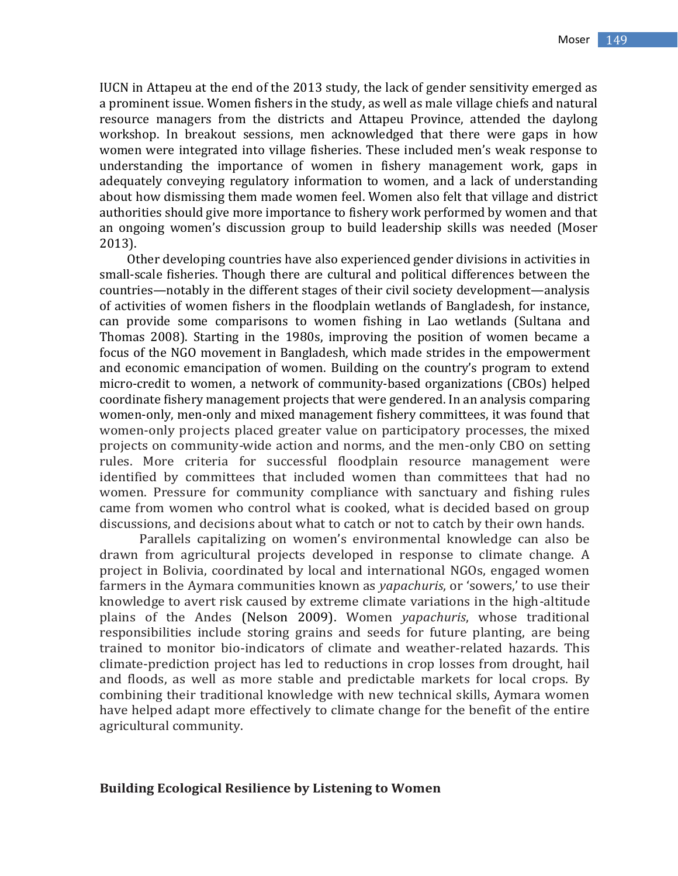IUCN in Attapeu at the end of the 2013 study, the lack of gender sensitivity emerged as a prominent issue. Women fishers in the study, as well as male village chiefs and natural resource managers from the districts and Attapeu Province, attended the daylong workshop. In breakout sessions, men acknowledged that there were gaps in how women were integrated into village fisheries. These included men's weak response to understanding the importance of women in fishery management work, gaps in adequately conveying regulatory information to women, and a lack of understanding about how dismissing them made women feel. Women also felt that village and district authorities should give more importance to fishery work performed by women and that an ongoing women's discussion group to build leadership skills was needed (Moser 2013).

Other developing countries have also experienced gender divisions in activities in small-scale fisheries. Though there are cultural and political differences between the countries—notably in the different stages of their civil society development—analysis of activities of women fishers in the floodplain wetlands of Bangladesh, for instance, can provide some comparisons to women fishing in Lao wetlands (Sultana and Thomas 2008). Starting in the 1980s, improving the position of women became a focus of the NGO movement in Bangladesh, which made strides in the empowerment and economic emancipation of women. Building on the country's program to extend micro-credit to women, a network of community-based organizations (CBOs) helped coordinate fishery management projects that were gendered. In an analysis comparing women-only, men-only and mixed management fishery committees, it was found that women-only projects placed greater value on participatory processes, the mixed projects on community-wide action and norms, and the men-only CBO on setting rules. More criteria for successful floodplain resource management were identified by committees that included women than committees that had no women. Pressure for community compliance with sanctuary and fishing rules came from women who control what is cooked, what is decided based on group discussions, and decisions about what to catch or not to catch by their own hands.

Parallels capitalizing on women's environmental knowledge can also be drawn from agricultural projects developed in response to climate change. A project in Bolivia, coordinated by local and international NGOs, engaged women farmers in the Aymara communities known as *yapachuris*, or 'sowers,' to use their knowledge to avert risk caused by extreme climate variations in the high-altitude plains of the Andes (Nelson 2009). Women *yapachuris*, whose traditional responsibilities include storing grains and seeds for future planting, are being trained to monitor bio-indicators of climate and weather-related hazards. This climate-prediction project has led to reductions in crop losses from drought, hail and floods, as well as more stable and predictable markets for local crops. By combining their traditional knowledge with new technical skills, Aymara women have helped adapt more effectively to climate change for the benefit of the entire agricultural community.

#### **Building Ecological Resilience by Listening to Women**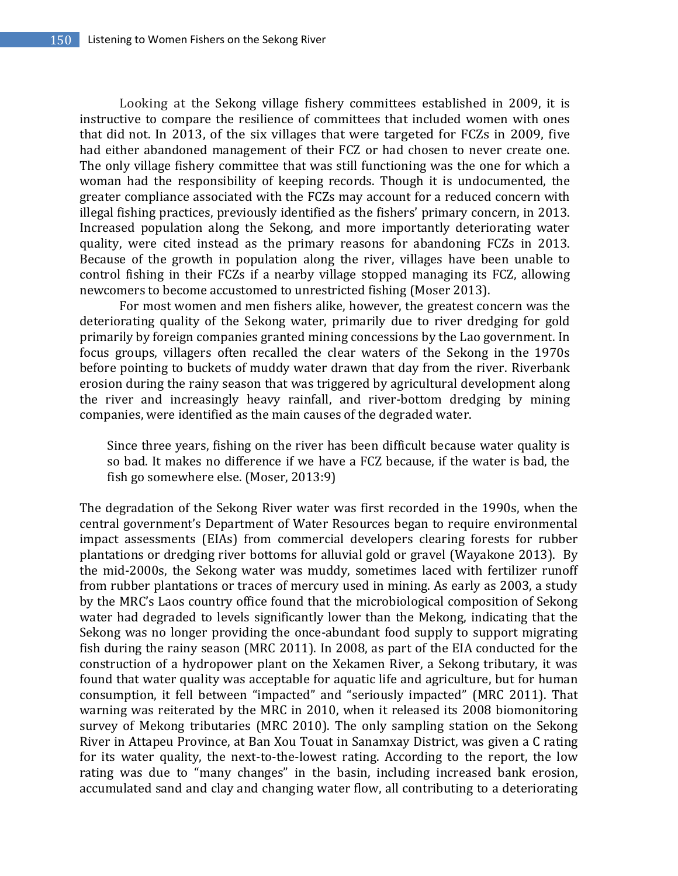Looking at the Sekong village fishery committees established in 2009, it is instructive to compare the resilience of committees that included women with ones that did not. In 2013, of the six villages that were targeted for FCZs in 2009, five had either abandoned management of their FCZ or had chosen to never create one. The only village fishery committee that was still functioning was the one for which a woman had the responsibility of keeping records. Though it is undocumented, the greater compliance associated with the FCZs may account for a reduced concern with illegal fishing practices, previously identified as the fishers' primary concern, in 2013. Increased population along the Sekong, and more importantly deteriorating water quality, were cited instead as the primary reasons for abandoning FCZs in 2013. Because of the growth in population along the river, villages have been unable to control fishing in their FCZs if a nearby village stopped managing its FCZ, allowing newcomers to become accustomed to unrestricted fishing (Moser 2013).

For most women and men fishers alike, however, the greatest concern was the deteriorating quality of the Sekong water, primarily due to river dredging for gold primarily by foreign companies granted mining concessions by the Lao government. In focus groups, villagers often recalled the clear waters of the Sekong in the 1970s before pointing to buckets of muddy water drawn that day from the river. Riverbank erosion during the rainy season that was triggered by agricultural development along the river and increasingly heavy rainfall, and river-bottom dredging by mining companies, were identified as the main causes of the degraded water.

Since three years, fishing on the river has been difficult because water quality is so bad. It makes no difference if we have a FCZ because, if the water is bad, the fish go somewhere else. (Moser, 2013:9)

The degradation of the Sekong River water was first recorded in the 1990s, when the central government's Department of Water Resources began to require environmental impact assessments (EIAs) from commercial developers clearing forests for rubber plantations or dredging river bottoms for alluvial gold or gravel (Wayakone 2013). By the mid-2000s, the Sekong water was muddy, sometimes laced with fertilizer runoff from rubber plantations or traces of mercury used in mining. As early as 2003, a study by the MRC's Laos country office found that the microbiological composition of Sekong water had degraded to levels significantly lower than the Mekong, indicating that the Sekong was no longer providing the once-abundant food supply to support migrating fish during the rainy season (MRC 2011). In 2008, as part of the EIA conducted for the construction of a hydropower plant on the Xekamen River, a Sekong tributary, it was found that water quality was acceptable for aquatic life and agriculture, but for human consumption, it fell between "impacted" and "seriously impacted" (MRC 2011). That warning was reiterated by the MRC in 2010, when it released its 2008 biomonitoring survey of Mekong tributaries (MRC 2010). The only sampling station on the Sekong River in Attapeu Province, at Ban Xou Touat in Sanamxay District, was given a C rating for its water quality, the next-to-the-lowest rating. According to the report, the low rating was due to "many changes" in the basin, including increased bank erosion, accumulated sand and clay and changing water flow, all contributing to a deteriorating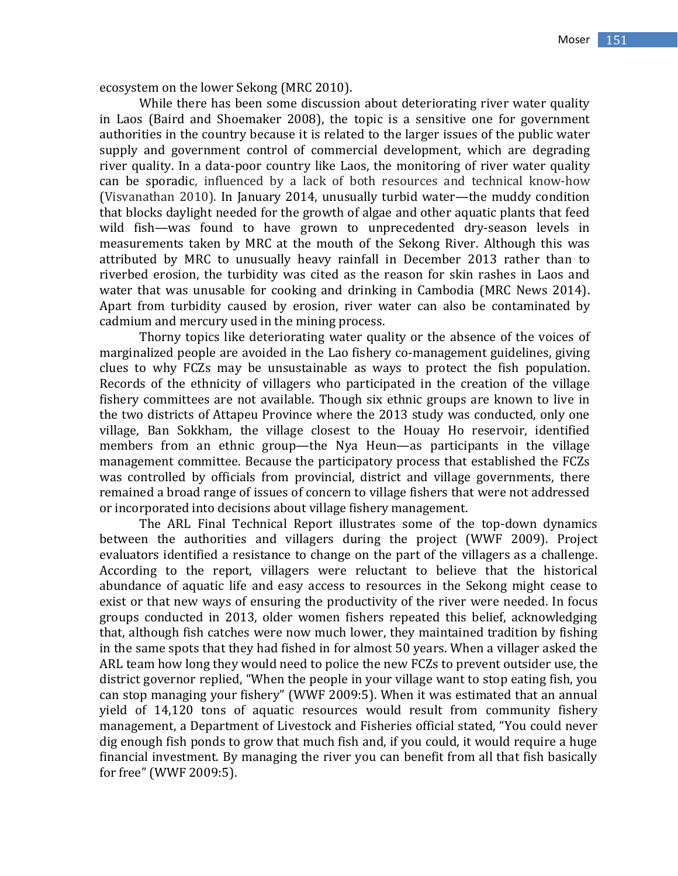ecosystem on the lower Sekong (MRC 2010).

While there has been some discussion about deteriorating river water quality in Laos (Baird and Shoemaker 2008), the topic is a sensitive one for government authorities in the country because it is related to the larger issues of the public water supply and government control of commercial development, which are degrading river quality. In a data-poor country like Laos, the monitoring of river water quality can be sporadic, influenced by a lack of both resources and technical know-how (Visvanathan 2010). In January 2014, unusually turbid water—the muddy condition that blocks daylight needed for the growth of algae and other aquatic plants that feed wild fish—was found to have grown to unprecedented dry-season levels in measurements taken by MRC at the mouth of the Sekong River. Although this was attributed by MRC to unusually heavy rainfall in December 2013 rather than to riverbed erosion, the turbidity was cited as the reason for skin rashes in Laos and water that was unusable for cooking and drinking in Cambodia (MRC News 2014). Apart from turbidity caused by erosion, river water can also be contaminated by cadmium and mercury used in the mining process.

Thorny topics like deteriorating water quality or the absence of the voices of marginalized people are avoided in the Lao fishery co-management guidelines, giving clues to why FCZs may be unsustainable as ways to protect the fish population. Records of the ethnicity of villagers who participated in the creation of the village fishery committees are not available. Though six ethnic groups are known to live in the two districts of Attapeu Province where the 2013 study was conducted, only one village, Ban Sokkham, the village closest to the Houay Ho reservoir, identified members from an ethnic group—the Nya Heun—as participants in the village management committee. Because the participatory process that established the FCZs was controlled by officials from provincial, district and village governments, there remained a broad range of issues of concern to village fishers that were not addressed or incorporated into decisions about village fishery management.

The ARL Final Technical Report illustrates some of the top-down dynamics between the authorities and villagers during the project (WWF 2009). Project evaluators identified a resistance to change on the part of the villagers as a challenge. According to the report, villagers were reluctant to believe that the historical abundance of aquatic life and easy access to resources in the Sekong might cease to exist or that new ways of ensuring the productivity of the river were needed. In focus groups conducted in 2013, older women fishers repeated this belief, acknowledging that, although fish catches were now much lower, they maintained tradition by fishing in the same spots that they had fished in for almost 50 years. When a villager asked the ARL team how long they would need to police the new FCZs to prevent outsider use, the district governor replied, "When the people in your village want to stop eating fish, you can stop managing your fishery" (WWF 2009:5). When it was estimated that an annual yield of 14,120 tons of aquatic resources would result from community fishery management, a Department of Livestock and Fisheries official stated, "You could never dig enough fish ponds to grow that much fish and, if you could, it would require a huge financial investment. By managing the river you can benefit from all that fish basically for free" (WWF 2009:5).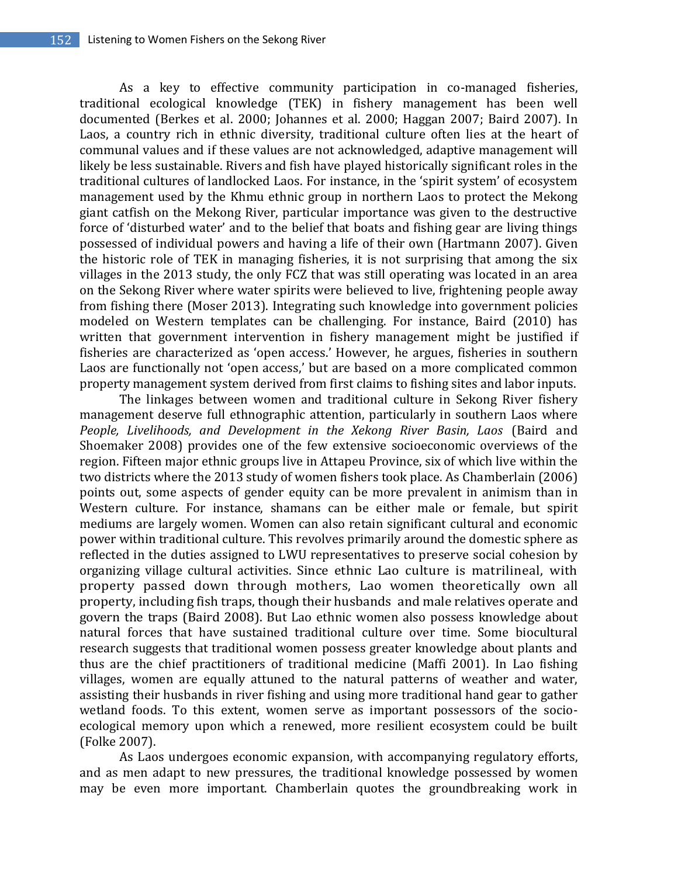As a key to effective community participation in co-managed fisheries, traditional ecological knowledge (TEK) in fishery management has been well documented (Berkes et al. 2000; Johannes et al. 2000; Haggan 2007; Baird 2007). In Laos, a country rich in ethnic diversity, traditional culture often lies at the heart of communal values and if these values are not acknowledged, adaptive management will likely be less sustainable. Rivers and fish have played historically significant roles in the traditional cultures of landlocked Laos. For instance, in the 'spirit system' of ecosystem management used by the Khmu ethnic group in northern Laos to protect the Mekong giant catfish on the Mekong River, particular importance was given to the destructive force of 'disturbed water' and to the belief that boats and fishing gear are living things possessed of individual powers and having a life of their own (Hartmann 2007). Given the historic role of TEK in managing fisheries, it is not surprising that among the six villages in the 2013 study, the only FCZ that was still operating was located in an area on the Sekong River where water spirits were believed to live, frightening people away from fishing there (Moser 2013). Integrating such knowledge into government policies modeled on Western templates can be challenging. For instance, Baird (2010) has written that government intervention in fishery management might be justified if fisheries are characterized as 'open access.' However, he argues, fisheries in southern Laos are functionally not 'open access,' but are based on a more complicated common property management system derived from first claims to fishing sites and labor inputs.

The linkages between women and traditional culture in Sekong River fishery management deserve full ethnographic attention, particularly in southern Laos where *People, Livelihoods, and Development in the Xekong River Basin, Laos* (Baird and Shoemaker 2008) provides one of the few extensive socioeconomic overviews of the region. Fifteen major ethnic groups live in Attapeu Province, six of which live within the two districts where the 2013 study of women fishers took place. As Chamberlain (2006) points out, some aspects of gender equity can be more prevalent in animism than in Western culture. For instance, shamans can be either male or female, but spirit mediums are largely women. Women can also retain significant cultural and economic power within traditional culture. This revolves primarily around the domestic sphere as reflected in the duties assigned to LWU representatives to preserve social cohesion by organizing village cultural activities. Since ethnic Lao culture is matrilineal, with property passed down through mothers, Lao women theoretically own all property, including fish traps, though their husbands and male relatives operate and govern the traps (Baird 2008). But Lao ethnic women also possess knowledge about natural forces that have sustained traditional culture over time. Some biocultural research suggests that traditional women possess greater knowledge about plants and thus are the chief practitioners of traditional medicine (Maffi 2001). In Lao fishing villages, women are equally attuned to the natural patterns of weather and water, assisting their husbands in river fishing and using more traditional hand gear to gather wetland foods. To this extent, women serve as important possessors of the socioecological memory upon which a renewed, more resilient ecosystem could be built (Folke 2007).

As Laos undergoes economic expansion, with accompanying regulatory efforts, and as men adapt to new pressures, the traditional knowledge possessed by women may be even more important. Chamberlain quotes the groundbreaking work in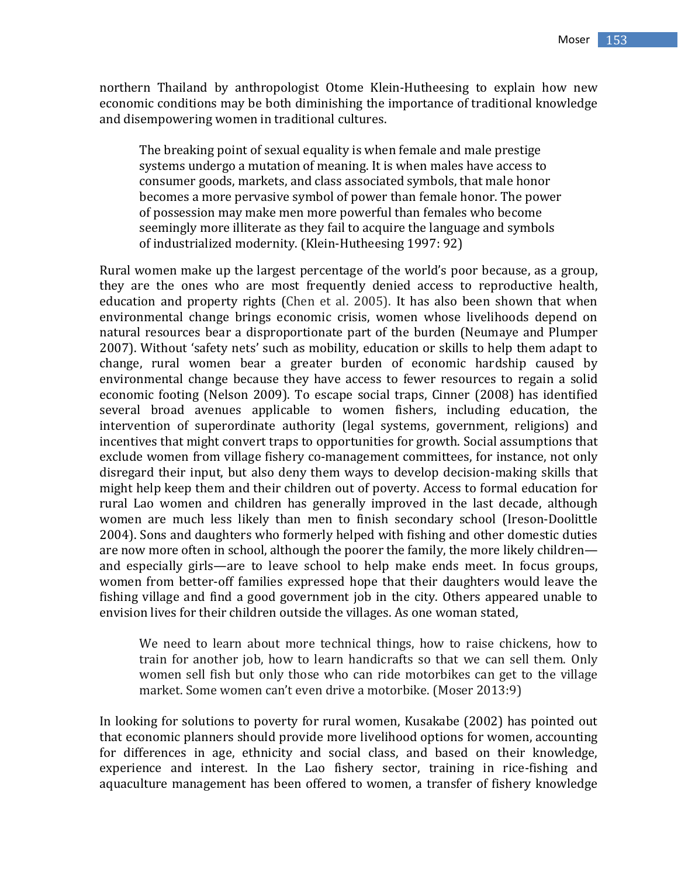northern Thailand by anthropologist Otome Klein-Hutheesing to explain how new economic conditions may be both diminishing the importance of traditional knowledge and disempowering women in traditional cultures.

The breaking point of sexual equality is when female and male prestige systems undergo a mutation of meaning. It is when males have access to consumer goods, markets, and class associated symbols, that male honor becomes a more pervasive symbol of power than female honor. The power of possession may make men more powerful than females who become seemingly more illiterate as they fail to acquire the language and symbols of industrialized modernity. (Klein-Hutheesing 1997: 92)

Rural women make up the largest percentage of the world's poor because, as a group, they are the ones who are most frequently denied access to reproductive health, education and property rights (Chen et al. 2005). It has also been shown that when environmental change brings economic crisis, women whose livelihoods depend on natural resources bear a disproportionate part of the burden (Neumaye and Plumper 2007). Without 'safety nets' such as mobility, education or skills to help them adapt to change, rural women bear a greater burden of economic hardship caused by environmental change because they have access to fewer resources to regain a solid economic footing (Nelson 2009). To escape social traps, Cinner (2008) has identified several broad avenues applicable to women fishers, including education, the intervention of superordinate authority (legal systems, government, religions) and incentives that might convert traps to opportunities for growth. Social assumptions that exclude women from village fishery co-management committees, for instance, not only disregard their input, but also deny them ways to develop decision-making skills that might help keep them and their children out of poverty. Access to formal education for rural Lao women and children has generally improved in the last decade, although women are much less likely than men to finish secondary school (Ireson-Doolittle 2004). Sons and daughters who formerly helped with fishing and other domestic duties are now more often in school, although the poorer the family, the more likely children and especially girls—are to leave school to help make ends meet. In focus groups, women from better-off families expressed hope that their daughters would leave the fishing village and find a good government job in the city. Others appeared unable to envision lives for their children outside the villages. As one woman stated,

We need to learn about more technical things, how to raise chickens, how to train for another job, how to learn handicrafts so that we can sell them. Only women sell fish but only those who can ride motorbikes can get to the village market. Some women can't even drive a motorbike. (Moser 2013:9)

In looking for solutions to poverty for rural women, Kusakabe (2002) has pointed out that economic planners should provide more livelihood options for women, accounting for differences in age, ethnicity and social class, and based on their knowledge, experience and interest. In the Lao fishery sector, training in rice-fishing and aquaculture management has been offered to women, a transfer of fishery knowledge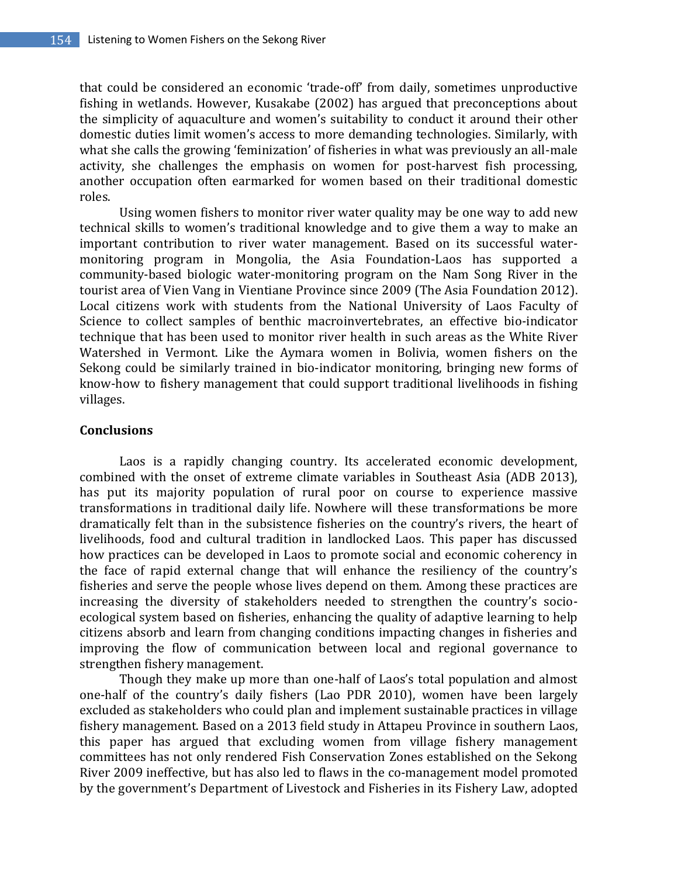that could be considered an economic 'trade-off' from daily, sometimes unproductive fishing in wetlands. However, Kusakabe (2002) has argued that preconceptions about the simplicity of aquaculture and women's suitability to conduct it around their other domestic duties limit women's access to more demanding technologies. Similarly, with what she calls the growing 'feminization' of fisheries in what was previously an all-male activity, she challenges the emphasis on women for post-harvest fish processing, another occupation often earmarked for women based on their traditional domestic roles.

Using women fishers to monitor river water quality may be one way to add new technical skills to women's traditional knowledge and to give them a way to make an important contribution to river water management. Based on its successful watermonitoring program in Mongolia, the Asia Foundation-Laos has supported a community-based biologic water-monitoring program on the Nam Song River in the tourist area of Vien Vang in Vientiane Province since 2009 (The Asia Foundation 2012). Local citizens work with students from the National University of Laos Faculty of Science to collect samples of benthic macroinvertebrates, an effective bio-indicator technique that has been used to monitor river health in such areas as the White River Watershed in Vermont. Like the Aymara women in Bolivia, women fishers on the Sekong could be similarly trained in bio-indicator monitoring, bringing new forms of know-how to fishery management that could support traditional livelihoods in fishing villages.

#### **Conclusions**

Laos is a rapidly changing country. Its accelerated economic development, combined with the onset of extreme climate variables in Southeast Asia (ADB 2013), has put its majority population of rural poor on course to experience massive transformations in traditional daily life. Nowhere will these transformations be more dramatically felt than in the subsistence fisheries on the country's rivers, the heart of livelihoods, food and cultural tradition in landlocked Laos. This paper has discussed how practices can be developed in Laos to promote social and economic coherency in the face of rapid external change that will enhance the resiliency of the country's fisheries and serve the people whose lives depend on them. Among these practices are increasing the diversity of stakeholders needed to strengthen the country's socioecological system based on fisheries, enhancing the quality of adaptive learning to help citizens absorb and learn from changing conditions impacting changes in fisheries and improving the flow of communication between local and regional governance to strengthen fishery management.

Though they make up more than one-half of Laos's total population and almost one-half of the country's daily fishers (Lao PDR 2010), women have been largely excluded as stakeholders who could plan and implement sustainable practices in village fishery management. Based on a 2013 field study in Attapeu Province in southern Laos, this paper has argued that excluding women from village fishery management committees has not only rendered Fish Conservation Zones established on the Sekong River 2009 ineffective, but has also led to flaws in the co-management model promoted by the government's Department of Livestock and Fisheries in its Fishery Law, adopted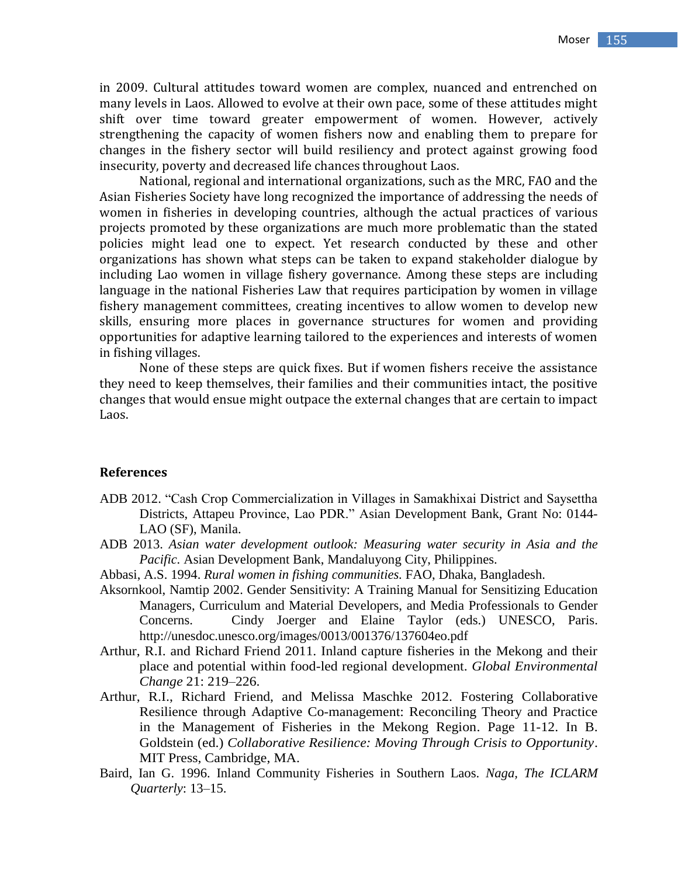in 2009. Cultural attitudes toward women are complex, nuanced and entrenched on many levels in Laos. Allowed to evolve at their own pace, some of these attitudes might shift over time toward greater empowerment of women. However, actively strengthening the capacity of women fishers now and enabling them to prepare for changes in the fishery sector will build resiliency and protect against growing food insecurity, poverty and decreased life chances throughout Laos.

National, regional and international organizations, such as the MRC, FAO and the Asian Fisheries Society have long recognized the importance of addressing the needs of women in fisheries in developing countries, although the actual practices of various projects promoted by these organizations are much more problematic than the stated policies might lead one to expect. Yet research conducted by these and other organizations has shown what steps can be taken to expand stakeholder dialogue by including Lao women in village fishery governance. Among these steps are including language in the national Fisheries Law that requires participation by women in village fishery management committees, creating incentives to allow women to develop new skills, ensuring more places in governance structures for women and providing opportunities for adaptive learning tailored to the experiences and interests of women in fishing villages.

None of these steps are quick fixes. But if women fishers receive the assistance they need to keep themselves, their families and their communities intact, the positive changes that would ensue might outpace the external changes that are certain to impact Laos.

#### **References**

- ADB 2012. "Cash Crop Commercialization in Villages in Samakhixai District and Saysettha Districts, Attapeu Province, Lao PDR." Asian Development Bank, Grant No: 0144- LAO (SF), Manila.
- ADB 2013. *Asian water development outlook: Measuring water security in Asia and the Pacific.* Asian Development Bank, Mandaluyong City, Philippines.
- Abbasi, A.S. 1994. *Rural women in fishing communities.* FAO, Dhaka, Bangladesh.
- Aksornkool, Namtip 2002. Gender Sensitivity: A Training Manual for Sensitizing Education Managers, Curriculum and Material Developers, and Media Professionals to Gender Concerns. Cindy Joerger and Elaine Taylor (eds.) UNESCO, Paris. http://unesdoc.unesco.org/images/0013/001376/137604eo.pdf
- Arthur, R.I. and Richard Friend 2011. Inland capture fisheries in the Mekong and their place and potential within food-led regional development. *Global Environmental Change* 21: 219–226.
- Arthur, R.I., Richard Friend, and Melissa Maschke 2012. Fostering Collaborative Resilience through Adaptive Co-management: Reconciling Theory and Practice in the Management of Fisheries in the Mekong Region. Page 11-12. In B. Goldstein (ed.) *Collaborative Resilience: Moving Through Crisis to Opportunity*. MIT Press, Cambridge, MA.
- Baird, Ian G. 1996. Inland Community Fisheries in Southern Laos. *Naga, The ICLARM Quarterly*: 13–15.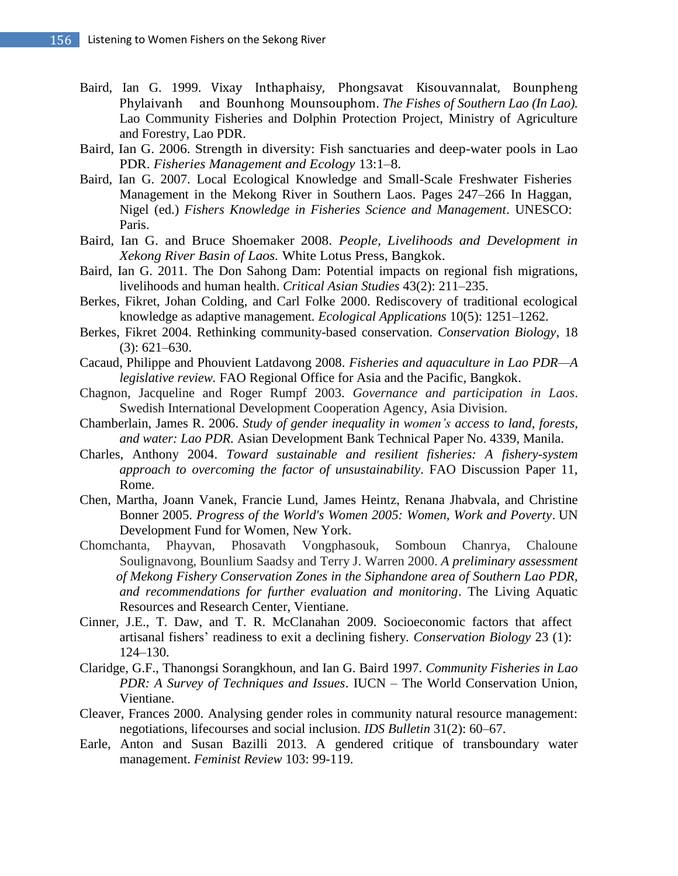- Baird, Ian G. 1999. Vixay Inthaphaisy, Phongsavat Kisouvannalat, Bounpheng Phylaivanh and Bounhong Mounsouphom. *The Fishes of Southern Lao (In Lao).* Lao Community Fisheries and Dolphin Protection Project, Ministry of Agriculture and Forestry, Lao PDR.
- Baird, Ian G. 2006. Strength in diversity: Fish sanctuaries and deep-water pools in Lao PDR. *Fisheries Management and Ecology* 13:1–8.
- Baird, Ian G. 2007. Local Ecological Knowledge and Small-Scale Freshwater Fisheries Management in the Mekong River in Southern Laos. Pages 247–266 In Haggan, Nigel (ed.) *Fishers Knowledge in Fisheries Science and Management*. UNESCO: Paris.
- Baird, Ian G. and Bruce Shoemaker 2008. *People, Livelihoods and Development in Xekong River Basin of Laos.* White Lotus Press, Bangkok.
- Baird, Ian G. 2011. The Don Sahong Dam: Potential impacts on regional fish migrations, livelihoods and human health. *Critical Asian Studies* 43(2): 211–235.
- Berkes, Fikret, Johan Colding, and Carl Folke 2000. Rediscovery of traditional ecological knowledge as adaptive management*. Ecological Applications* 10(5): 1251–1262.
- Berkes, Fikret 2004. Rethinking community-based conservation. *Conservation Biology,* 18 (3): 621–630.
- Cacaud, Philippe and Phouvient Latdavong 2008. *Fisheries and aquaculture in Lao PDR—A legislative review.* FAO Regional Office for Asia and the Pacific, Bangkok.
- Chagnon, Jacqueline and Roger Rumpf 2003. *Governance and participation in Laos*. Swedish International Development Cooperation Agency, Asia Division.
- Chamberlain, James R. 2006. *Study of gender inequality in women's access to land, forests, and water: Lao PDR.* Asian Development Bank Technical Paper No. 4339, Manila.
- Charles, Anthony 2004. *Toward sustainable and resilient fisheries: A fishery-system approach to overcoming the factor of unsustainability*. FAO Discussion Paper 11, Rome.
- Chen, Martha, Joann Vanek, Francie Lund, James Heintz, Renana Jhabvala, and Christine Bonner 2005. *Progress of the World's Women 2005: Women, Work and Poverty*. UN Development Fund for Women, New York.
- Chomchanta, Phayvan, Phosavath Vongphasouk, Somboun Chanrya, Chaloune Soulignavong, Bounlium Saadsy and Terry J. Warren 2000. *A preliminary assessment of Mekong Fishery Conservation Zones in the Siphandone area of Southern Lao PDR, and recommendations for further evaluation and monitoring*. The Living Aquatic Resources and Research Center, Vientiane.
- Cinner, J.E., T. Daw, and T. R. McClanahan 2009. Socioeconomic factors that affect artisanal fishers' readiness to exit a declining fishery*. Conservation Biology* 23 (1): 124–130.
- Claridge, G.F., Thanongsi Sorangkhoun, and Ian G. Baird 1997. *Community Fisheries in Lao PDR: A Survey of Techniques and Issues*. IUCN – The World Conservation Union, Vientiane.
- Cleaver, Frances 2000. Analysing gender roles in community natural resource management: negotiations, lifecourses and social inclusion. *IDS Bulletin* 31(2): 60–67.
- Earle, Anton and Susan Bazilli 2013. A gendered critique of transboundary water management. *Feminist Review* 103: 99-119.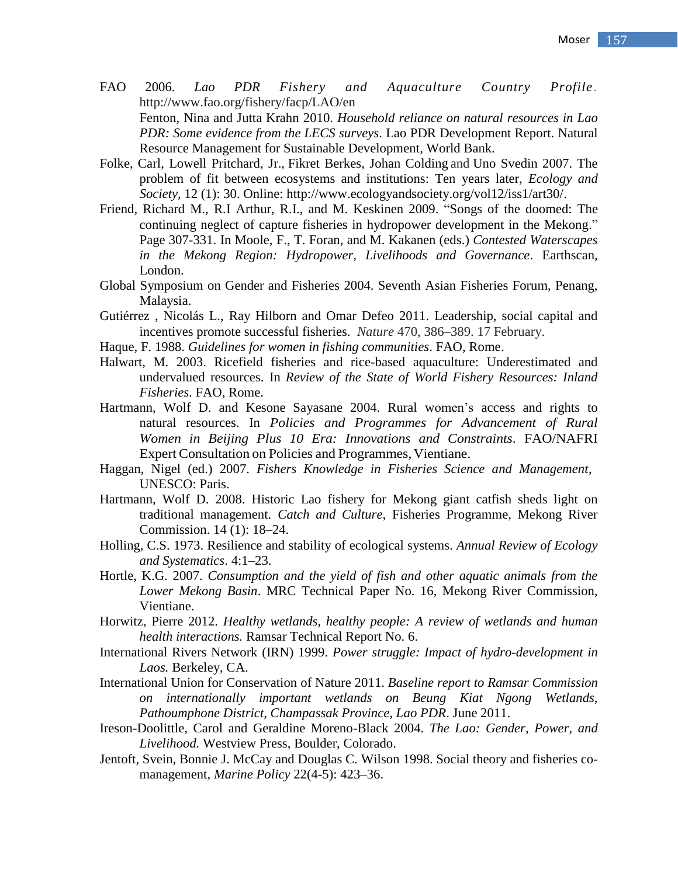- FAO 2006. *Lao PDR Fishery and Aquaculture Country Profile*. http://www.fao.org/fishery/facp/LAO/en Fenton, Nina and Jutta Krahn 2010. *Household reliance on natural resources in Lao PDR: Some evidence from the LECS surveys*. Lao PDR Development Report. Natural Resource Management for Sustainable Development*,* World Bank.
- Folke, Carl, Lowell Pritchard, Jr., Fikret Berkes, Johan Colding and Uno Svedin 2007. The problem of fit between ecosystems and institutions: Ten years later, *Ecology and Society,* 12 (1): 30. Online: http://www.ecologyandsociety.org/vol12/iss1/art30/.
- Friend, Richard M., R.I Arthur, R.I., and M. Keskinen 2009. "Songs of the doomed: The continuing neglect of capture fisheries in hydropower development in the Mekong." Page 307-331. In Moole, F., T. Foran, and M. Kakanen (eds.) *Contested Waterscapes in the Mekong Region: Hydropower, Livelihoods and Governance*. Earthscan, London.
- Global Symposium on Gender and Fisheries 2004. Seventh Asian Fisheries Forum, Penang, Malaysia.
- Gutiérrez , Nicolás L., Ray Hilborn and Omar Defeo 2011. Leadership, social capital and incentives promote successful fisheries. *Nature* 470, 386–389. 17 February.
- Haque, F. 1988. *Guidelines for women in fishing communities*. FAO, Rome.
- Halwart, M. 2003. Ricefield fisheries and rice-based aquaculture: Underestimated and undervalued resources. In *Review of the State of World Fishery Resources: Inland Fisheries*. FAO, Rome.
- Hartmann, Wolf D. and Kesone Sayasane 2004. Rural women's access and rights to natural resources. In *Policies and Programmes for Advancement of Rural Women in Beijing Plus 10 Era: Innovations and Constraints*. FAO/NAFRI Expert Consultation on Policies and Programmes, Vientiane.
- Haggan, Nigel (ed.) 2007. *Fishers Knowledge in Fisheries Science and Management*, UNESCO: Paris.
- Hartmann, Wolf D. 2008. Historic Lao fishery for Mekong giant catfish sheds light on traditional management. *Catch and Culture*, Fisheries Programme, Mekong River Commission. 14 (1): 18–24.
- Holling, C.S. 1973. Resilience and stability of ecological systems. *Annual Review of Ecology and Systematics*. 4:1–23.
- Hortle, K.G. 2007. *Consumption and the yield of fish and other aquatic animals from the Lower Mekong Basin*. MRC Technical Paper No. 16, Mekong River Commission, Vientiane.
- Horwitz, Pierre 2012. *Healthy wetlands, healthy people: A review of wetlands and human health interactions.* Ramsar Technical Report No. 6.
- International Rivers Network (IRN) 1999. *Power struggle: Impact of hydro-development in Laos.* Berkeley, CA.
- International Union for Conservation of Nature 2011. *Baseline report to Ramsar Commission on internationally important wetlands on Beung Kiat Ngong Wetlands, Pathoumphone District, Champassak Province, Lao PDR*. June 2011.
- Ireson-Doolittle, Carol and Geraldine Moreno-Black 2004. *The Lao: Gender, Power, and Livelihood.* Westview Press, Boulder, Colorado.
- Jentoft, Svein, Bonnie J. McCay and Douglas C. Wilson 1998. Social theory and fisheries comanagement, *Marine Policy* 22(4-5): 423–36.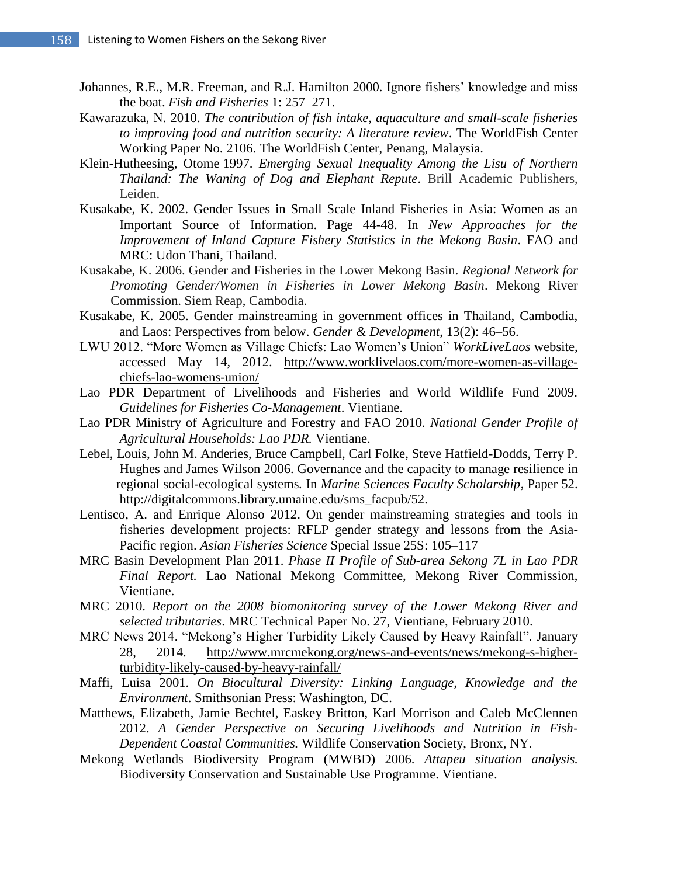- Johannes, R.E., M.R. Freeman, and R.J. Hamilton 2000. Ignore fishers' knowledge and miss the boat. *Fish and Fisheries* 1: 257–271.
- Kawarazuka, N. 2010. *The contribution of fish intake, aquaculture and small-scale fisheries to improving food and nutrition security: A literature review*. The WorldFish Center Working Paper No. 2106. The WorldFish Center, Penang, Malaysia.
- Klein-Hutheesing*,* Otome 1997. *Emerging Sexual Inequality Among the Lisu of Northern Thailand: The Waning of Dog and Elephant Repute*. Brill Academic Publishers, Leiden.
- Kusakabe, K. 2002. Gender Issues in Small Scale Inland Fisheries in Asia: Women as an Important Source of Information. Page 44-48. In *New Approaches for the Improvement of Inland Capture Fishery Statistics in the Mekong Basin*. FAO and MRC: Udon Thani, Thailand.
- Kusakabe, K. 2006. Gender and Fisheries in the Lower Mekong Basin*. Regional Network for Promoting Gender/Women in Fisheries in Lower Mekong Basin*. Mekong River Commission. Siem Reap, Cambodia.
- Kusakabe, K. 2005. Gender mainstreaming in government offices in Thailand, Cambodia, and Laos: Perspectives from below. *Gender & Development*, 13(2): 46–56.
- LWU 2012. "More Women as Village Chiefs: Lao Women's Union" *WorkLiveLaos* website, accessed May 14, 2012. [http://www.worklivelaos.com/more-women-as-village](http://www.worklivelaos.com/more-women-as-village-)chiefs-lao-womens-union/
- Lao PDR Department of Livelihoods and Fisheries and World Wildlife Fund 2009. *Guidelines for Fisheries Co-Management*. Vientiane.
- Lao PDR Ministry of Agriculture and Forestry and FAO 2010*. National Gender Profile of Agricultural Households: Lao PDR.* Vientiane.
- Lebel, Louis, John M. Anderies, Bruce Campbell, Carl Folke, Steve Hatfield-Dodds, Terry P. Hughes and James Wilson 2006. Governance and the capacity to manage resilience in regional social-ecological systems*.* In *Marine Sciences Faculty Scholarship*, Paper 52. http://digitalcommons.library.umaine.edu/sms\_facpub/52.
- Lentisco, A. and Enrique Alonso 2012. On gender mainstreaming strategies and tools in fisheries development projects: RFLP gender strategy and lessons from the Asia-Pacific region. *Asian Fisheries Science* Special Issue 25S: 105–117
- MRC Basin Development Plan 2011. *Phase II Profile of Sub-area Sekong 7L in Lao PDR Final Report.* Lao National Mekong Committee, Mekong River Commission, Vientiane.
- MRC 2010. *Report on the 2008 biomonitoring survey of the Lower Mekong River and selected tributaries*. MRC Technical Paper No. 27, Vientiane, February 2010.
- MRC News 2014. "Mekong's Higher Turbidity Likely Caused by Heavy Rainfall". January 28, 2014. [http://www.mrcmekong.org/news-and-events/news/mekong-s-higher](http://www.mrcmekong.org/news-and-events/news/mekong-s-higher-)turbidity-likely-caused-by-heavy-rainfall/
- Maffi, Luisa 2001. *On Biocultural Diversity: Linking Language, Knowledge and the Environment*. Smithsonian Press: Washington, DC.
- Matthews, Elizabeth, Jamie Bechtel, Easkey Britton, Karl Morrison and Caleb McClennen 2012. *A Gender Perspective on Securing Livelihoods and Nutrition in Fish-Dependent Coastal Communities.* Wildlife Conservation Society, Bronx, NY.
- Mekong Wetlands Biodiversity Program (MWBD) 2006. *Attapeu situation analysis.* Biodiversity Conservation and Sustainable Use Programme. Vientiane.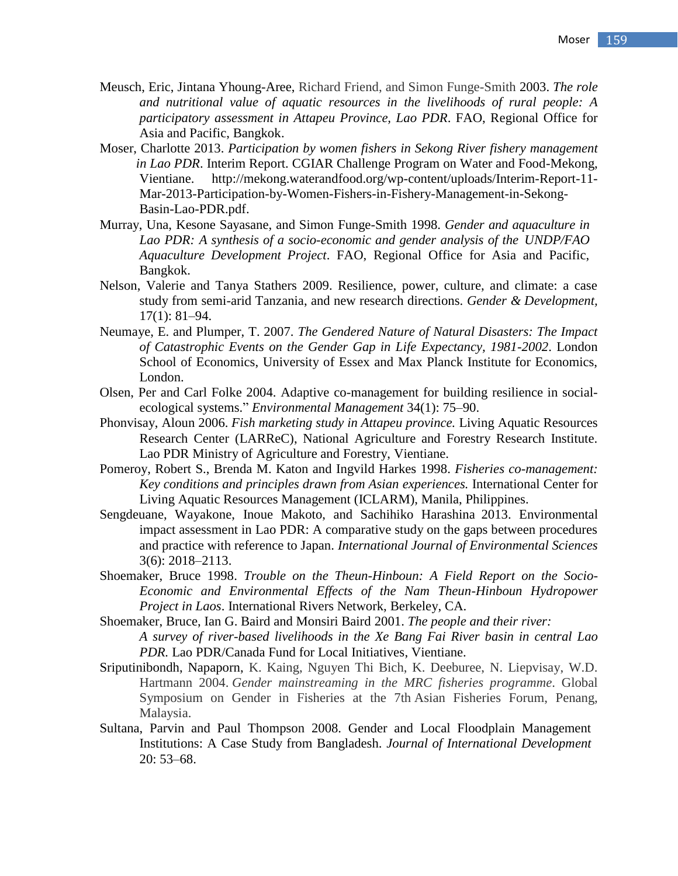- Meusch, Eric, Jintana Yhoung-Aree, Richard Friend, and Simon Funge-Smith 2003. *The role and nutritional value of aquatic resources in the livelihoods of rural people: A participatory assessment in Attapeu Province, Lao PDR*. FAO, Regional Office for Asia and Pacific, Bangkok.
- Moser, Charlotte 2013. *Participation by women fishers in Sekong River fishery management in Lao PDR*. Interim Report. CGIAR Challenge Program on Water and Food-Mekong, Vientiane. http://mekong.waterandfood.org/wp-content/uploads/Interim-Report-11- Mar-2013-Participation-by-Women-Fishers-in-Fishery-Management-in-Sekong-Basin-Lao-PDR.pdf.
- Murray, Una, Kesone Sayasane, and Simon Funge-Smith 1998. *Gender and aquaculture in Lao PDR: A synthesis of a socio-economic and gender analysis of the UNDP/FAO Aquaculture Development Project*. FAO, Regional Office for Asia and Pacific, Bangkok.
- Nelson, Valerie and Tanya Stathers 2009. Resilience, power, culture, and climate: a case study from semi-arid Tanzania, and new research directions. *Gender & Development,* 17(1): 81–94.
- Neumaye, E. and Plumper, T. 2007. *The Gendered Nature of Natural Disasters: The Impact of Catastrophic Events on the Gender Gap in Life Expectancy, 1981-2002*. London School of Economics, University of Essex and Max Planck Institute for Economics, London.
- Olsen, Per and Carl Folke 2004. Adaptive co-management for building resilience in socialecological systems." *Environmental Management* 34(1): 75–90.
- Phonvisay, Aloun 2006. *Fish marketing study in Attapeu province.* Living Aquatic Resources Research Center (LARReC), National Agriculture and Forestry Research Institute. Lao PDR Ministry of Agriculture and Forestry, Vientiane.
- Pomeroy, Robert S., Brenda M. Katon and Ingvild Harkes 1998. *Fisheries co-management: Key conditions and principles drawn from Asian experiences.* International Center for Living Aquatic Resources Management (ICLARM), Manila, Philippines.
- Sengdeuane, Wayakone, Inoue Makoto, and Sachihiko Harashina 2013. Environmental impact assessment in Lao PDR: A comparative study on the gaps between procedures and practice with reference to Japan. *International Journal of Environmental Sciences* 3(6): 2018–2113.
- Shoemaker, Bruce 1998. *Trouble on the Theun-Hinboun: A Field Report on the Socio-Economic and Environmental Effects of the Nam Theun-Hinboun Hydropower Project in Laos*. International Rivers Network, Berkeley, CA.
- Shoemaker, Bruce, Ian G. Baird and Monsiri Baird 2001. *The people and their river: A survey of river-based livelihoods in the Xe Bang Fai River basin in central Lao PDR.* Lao PDR/Canada Fund for Local Initiatives, Vientiane.
- Sriputinibondh, Napaporn, K. Kaing, Nguyen Thi Bich, K. Deeburee, N. Liepvisay, W.D. Hartmann 2004. *Gender mainstreaming in the MRC fisheries programme*. Global Symposium on Gender in Fisheries at the 7th Asian Fisheries Forum, Penang, Malaysia.
- Sultana, Parvin and Paul Thompson 2008. Gender and Local Floodplain Management Institutions: A Case Study from Bangladesh. *Journal of International Development* 20: 53–68.